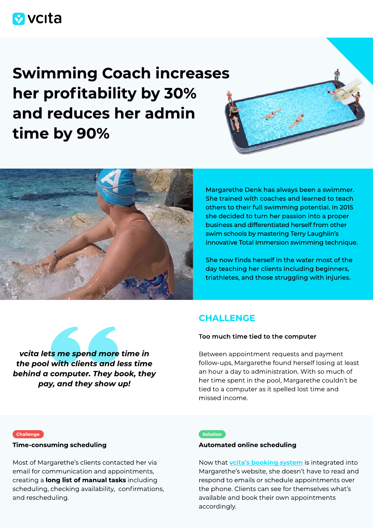# **M** vcita

Swimming Coach increases her profitability by 30% and reduces her admin time by 90%





Margarethe Denk has always been a swimmer. She trained with coaches and learned to teach others to their full swimming potential. In 2015 she decided to turn her passion into a proper business and differentiated herself from other swim schools by mastering Terry Laughlin's innovative Total Immersion swimming technique.

She now finds herself in the water most of the day teaching her clients including beginners, triathletes, and those struggling with injuries.

vcita lets me spend more time in the pool with clients and less time behind a computer. They book, they pay, and they show up!

## **CHALLENGE**

## Too much time tied to the computer

Between appointment requests and payment follow-ups, Margarethe found herself losing at least an hour a day to administration. With so much of her time spent in the pool, Margarethe couldn't be tied to a computer as it spelled lost time and missed income.

#### **Challenge**

## Time-consuming scheduling

Most of Margarethe's clients contacted her via email for communication and appointments, creating a long list of manual tasks including scheduling, checking availability, confirmations, and rescheduling.

#### **Solution**

## Automated online scheduling

Now that **vcita's booking system** is integrated into Margarethe's website, she doesn't have to read and respond to emails or schedule appointments over the phone. Clients can see for themselves what's available and book their own appointments accordingly.